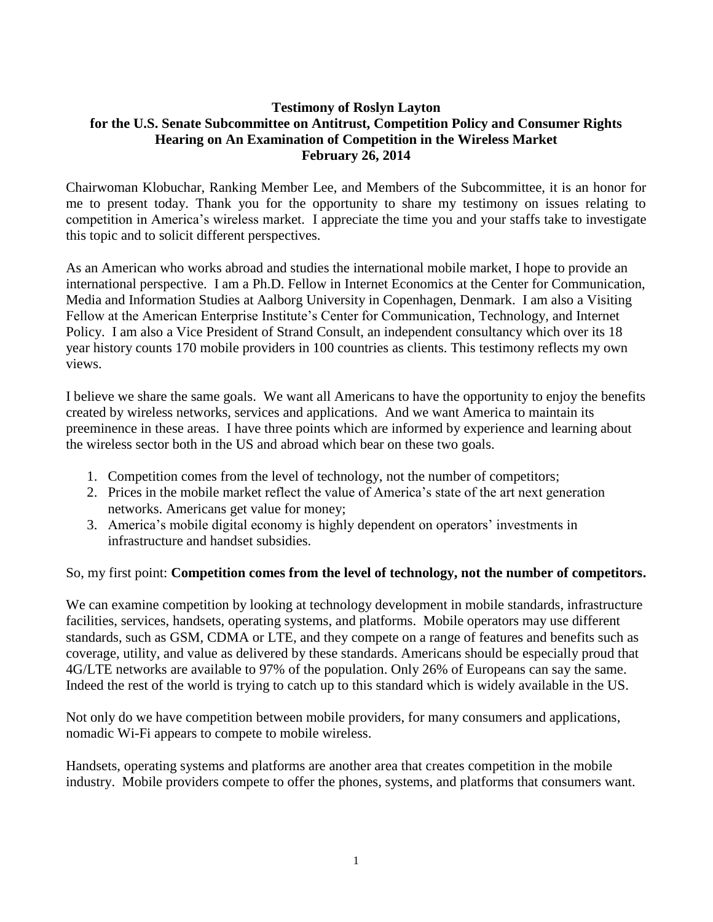## **Testimony of Roslyn Layton for the U.S. Senate Subcommittee on Antitrust, Competition Policy and Consumer Rights Hearing on An Examination of Competition in the Wireless Market February 26, 2014**

Chairwoman Klobuchar, Ranking Member Lee, and Members of the Subcommittee, it is an honor for me to present today. Thank you for the opportunity to share my testimony on issues relating to competition in America's wireless market. I appreciate the time you and your staffs take to investigate this topic and to solicit different perspectives.

As an American who works abroad and studies the international mobile market, I hope to provide an international perspective. I am a Ph.D. Fellow in Internet Economics at the Center for Communication, Media and Information Studies at Aalborg University in Copenhagen, Denmark. I am also a Visiting Fellow at the American Enterprise Institute's Center for Communication, Technology, and Internet Policy. I am also a Vice President of Strand Consult, an independent consultancy which over its 18 year history counts 170 mobile providers in 100 countries as clients. This testimony reflects my own views.

I believe we share the same goals. We want all Americans to have the opportunity to enjoy the benefits created by wireless networks, services and applications. And we want America to maintain its preeminence in these areas. I have three points which are informed by experience and learning about the wireless sector both in the US and abroad which bear on these two goals.

- 1. Competition comes from the level of technology, not the number of competitors;
- 2. Prices in the mobile market reflect the value of America's state of the art next generation networks. Americans get value for money;
- 3. America's mobile digital economy is highly dependent on operators' investments in infrastructure and handset subsidies.

## So, my first point: **Competition comes from the level of technology, not the number of competitors.**

We can examine competition by looking at technology development in mobile standards, infrastructure facilities, services, handsets, operating systems, and platforms. Mobile operators may use different standards, such as GSM, CDMA or LTE, and they compete on a range of features and benefits such as coverage, utility, and value as delivered by these standards. Americans should be especially proud that 4G/LTE networks are available to 97% of the population. Only 26% of Europeans can say the same. Indeed the rest of the world is trying to catch up to this standard which is widely available in the US.

Not only do we have competition between mobile providers, for many consumers and applications, nomadic Wi-Fi appears to compete to mobile wireless.

Handsets, operating systems and platforms are another area that creates competition in the mobile industry. Mobile providers compete to offer the phones, systems, and platforms that consumers want.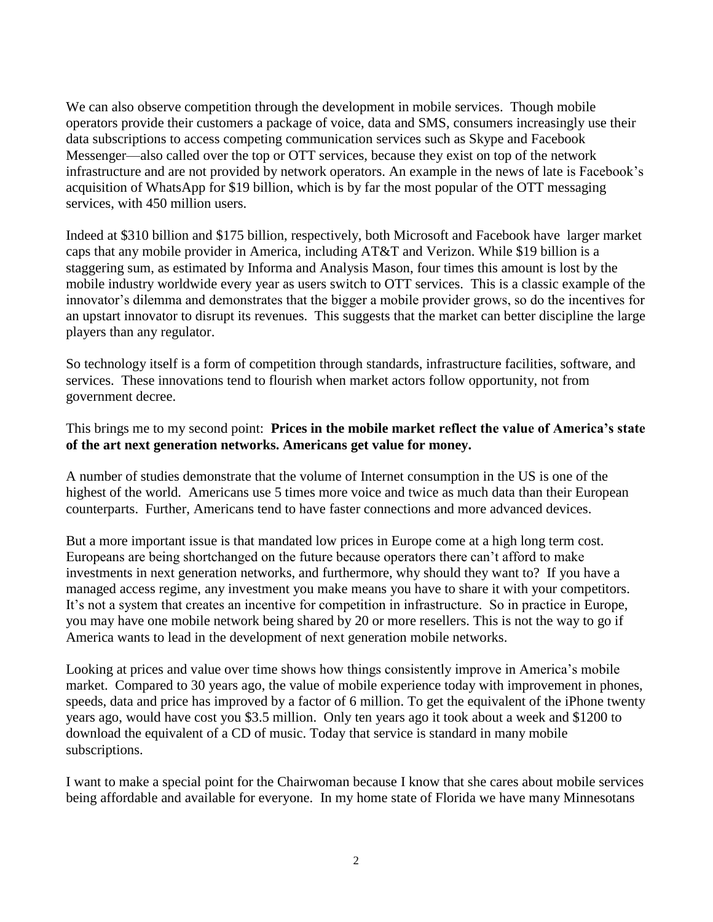We can also observe competition through the development in mobile services. Though mobile operators provide their customers a package of voice, data and SMS, consumers increasingly use their data subscriptions to access competing communication services such as Skype and Facebook Messenger—also called over the top or OTT services, because they exist on top of the network infrastructure and are not provided by network operators. An example in the news of late is Facebook's acquisition of WhatsApp for \$19 billion, which is by far the most popular of the OTT messaging services, with 450 million users.

Indeed at \$310 billion and \$175 billion, respectively, both Microsoft and Facebook have larger market caps that any mobile provider in America, including AT&T and Verizon. While \$19 billion is a staggering sum, as estimated by Informa and Analysis Mason, four times this amount is lost by the mobile industry worldwide every year as users switch to OTT services. This is a classic example of the innovator's dilemma and demonstrates that the bigger a mobile provider grows, so do the incentives for an upstart innovator to disrupt its revenues. This suggests that the market can better discipline the large players than any regulator.

So technology itself is a form of competition through standards, infrastructure facilities, software, and services. These innovations tend to flourish when market actors follow opportunity, not from government decree.

## This brings me to my second point: **Prices in the mobile market reflect the value of America's state of the art next generation networks. Americans get value for money.**

A number of studies demonstrate that the volume of Internet consumption in the US is one of the highest of the world. Americans use 5 times more voice and twice as much data than their European counterparts. Further, Americans tend to have faster connections and more advanced devices.

But a more important issue is that mandated low prices in Europe come at a high long term cost. Europeans are being shortchanged on the future because operators there can't afford to make investments in next generation networks, and furthermore, why should they want to? If you have a managed access regime, any investment you make means you have to share it with your competitors. It's not a system that creates an incentive for competition in infrastructure. So in practice in Europe, you may have one mobile network being shared by 20 or more resellers. This is not the way to go if America wants to lead in the development of next generation mobile networks.

Looking at prices and value over time shows how things consistently improve in America's mobile market. Compared to 30 years ago, the value of mobile experience today with improvement in phones, speeds, data and price has improved by a factor of 6 million. To get the equivalent of the iPhone twenty years ago, would have cost you \$3.5 million. Only ten years ago it took about a week and \$1200 to download the equivalent of a CD of music. Today that service is standard in many mobile subscriptions.

I want to make a special point for the Chairwoman because I know that she cares about mobile services being affordable and available for everyone. In my home state of Florida we have many Minnesotans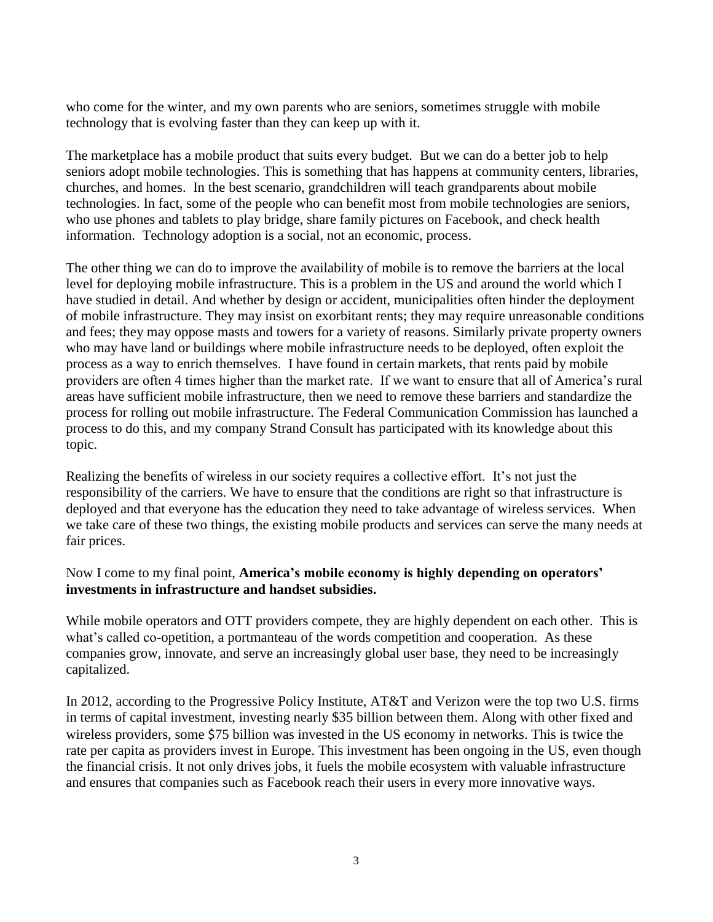who come for the winter, and my own parents who are seniors, sometimes struggle with mobile technology that is evolving faster than they can keep up with it.

The marketplace has a mobile product that suits every budget. But we can do a better job to help seniors adopt mobile technologies. This is something that has happens at community centers, libraries, churches, and homes. In the best scenario, grandchildren will teach grandparents about mobile technologies. In fact, some of the people who can benefit most from mobile technologies are seniors, who use phones and tablets to play bridge, share family pictures on Facebook, and check health information. Technology adoption is a social, not an economic, process.

The other thing we can do to improve the availability of mobile is to remove the barriers at the local level for deploying mobile infrastructure. This is a problem in the US and around the world which I have studied in detail. And whether by design or accident, municipalities often hinder the deployment of mobile infrastructure. They may insist on exorbitant rents; they may require unreasonable conditions and fees; they may oppose masts and towers for a variety of reasons. Similarly private property owners who may have land or buildings where mobile infrastructure needs to be deployed, often exploit the process as a way to enrich themselves. I have found in certain markets, that rents paid by mobile providers are often 4 times higher than the market rate. If we want to ensure that all of America's rural areas have sufficient mobile infrastructure, then we need to remove these barriers and standardize the process for rolling out mobile infrastructure. The Federal Communication Commission has launched a process to do this, and my company Strand Consult has participated with its knowledge about this topic.

Realizing the benefits of wireless in our society requires a collective effort. It's not just the responsibility of the carriers. We have to ensure that the conditions are right so that infrastructure is deployed and that everyone has the education they need to take advantage of wireless services. When we take care of these two things, the existing mobile products and services can serve the many needs at fair prices.

## Now I come to my final point, **America's mobile economy is highly depending on operators' investments in infrastructure and handset subsidies.**

While mobile operators and OTT providers compete, they are highly dependent on each other. This is what's called co-opetition, a portmanteau of the words competition and cooperation. As these companies grow, innovate, and serve an increasingly global user base, they need to be increasingly capitalized.

In 2012, according to the Progressive Policy Institute, AT&T and Verizon were the top two U.S. firms in terms of capital investment, investing nearly \$35 billion between them. Along with other fixed and wireless providers, some \$75 billion was invested in the US economy in networks. This is twice the rate per capita as providers invest in Europe. This investment has been ongoing in the US, even though the financial crisis. It not only drives jobs, it fuels the mobile ecosystem with valuable infrastructure and ensures that companies such as Facebook reach their users in every more innovative ways.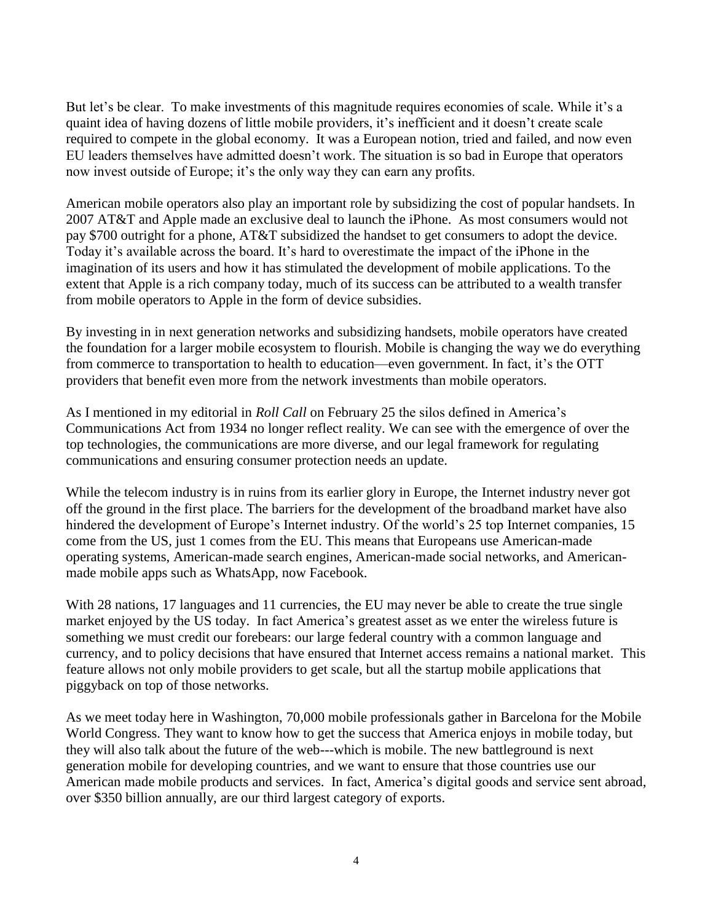But let's be clear. To make investments of this magnitude requires economies of scale. While it's a quaint idea of having dozens of little mobile providers, it's inefficient and it doesn't create scale required to compete in the global economy. It was a European notion, tried and failed, and now even EU leaders themselves have admitted doesn't work. The situation is so bad in Europe that operators now invest outside of Europe; it's the only way they can earn any profits.

American mobile operators also play an important role by subsidizing the cost of popular handsets. In 2007 AT&T and Apple made an exclusive deal to launch the iPhone. As most consumers would not pay \$700 outright for a phone, AT&T subsidized the handset to get consumers to adopt the device. Today it's available across the board. It's hard to overestimate the impact of the iPhone in the imagination of its users and how it has stimulated the development of mobile applications. To the extent that Apple is a rich company today, much of its success can be attributed to a wealth transfer from mobile operators to Apple in the form of device subsidies.

By investing in in next generation networks and subsidizing handsets, mobile operators have created the foundation for a larger mobile ecosystem to flourish. Mobile is changing the way we do everything from commerce to transportation to health to education—even government. In fact, it's the OTT providers that benefit even more from the network investments than mobile operators.

As I mentioned in my editorial in *Roll Call* on February 25 the silos defined in America's Communications Act from 1934 no longer reflect reality. We can see with the emergence of over the top technologies, the communications are more diverse, and our legal framework for regulating communications and ensuring consumer protection needs an update.

While the telecom industry is in ruins from its earlier glory in Europe, the Internet industry never got off the ground in the first place. The barriers for the development of the broadband market have also hindered the development of Europe's Internet industry. Of the world's 25 top Internet companies, 15 come from the US, just 1 comes from the EU. This means that Europeans use American-made operating systems, American-made search engines, American-made social networks, and Americanmade mobile apps such as WhatsApp, now Facebook.

With 28 nations, 17 languages and 11 currencies, the EU may never be able to create the true single market enjoyed by the US today. In fact America's greatest asset as we enter the wireless future is something we must credit our forebears: our large federal country with a common language and currency, and to policy decisions that have ensured that Internet access remains a national market. This feature allows not only mobile providers to get scale, but all the startup mobile applications that piggyback on top of those networks.

As we meet today here in Washington, 70,000 mobile professionals gather in Barcelona for the Mobile World Congress. They want to know how to get the success that America enjoys in mobile today, but they will also talk about the future of the web---which is mobile. The new battleground is next generation mobile for developing countries, and we want to ensure that those countries use our American made mobile products and services. In fact, America's digital goods and service sent abroad, over \$350 billion annually, are our third largest category of exports.